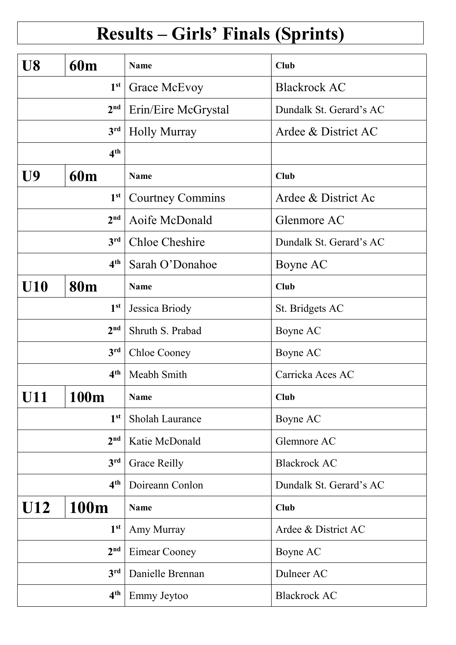## Results – Girls' Finals (Sprints)

| U8               | <b>60m</b>      | <b>Name</b>             | <b>Club</b>             |
|------------------|-----------------|-------------------------|-------------------------|
| 1 <sup>st</sup>  |                 | <b>Grace McEvoy</b>     | <b>Blackrock AC</b>     |
|                  | 2 <sup>nd</sup> | Erin/Eire McGrystal     | Dundalk St. Gerard's AC |
|                  | 3 <sup>rd</sup> | <b>Holly Murray</b>     | Ardee & District AC     |
| 4 <sup>th</sup>  |                 |                         |                         |
| U9<br><b>60m</b> |                 | <b>Name</b>             | <b>Club</b>             |
|                  | 1 <sup>st</sup> | <b>Courtney Commins</b> | Ardee & District Ac     |
|                  | 2 <sup>nd</sup> | Aoife McDonald          | Glenmore AC             |
|                  | 3 <sup>rd</sup> | <b>Chloe Cheshire</b>   | Dundalk St. Gerard's AC |
|                  | 4 <sup>th</sup> | Sarah O'Donahoe         | Boyne AC                |
| <b>U10</b>       | <b>80m</b>      | <b>Name</b>             | <b>Club</b>             |
| 1 <sup>st</sup>  |                 | Jessica Briody          | St. Bridgets AC         |
| 2 <sup>nd</sup>  |                 | Shruth S. Prabad        | Boyne AC                |
| 3 <sup>rd</sup>  |                 | <b>Chloe Cooney</b>     | Boyne AC                |
|                  | 4 <sup>th</sup> | Meabh Smith             | Carricka Aces AC        |
| <b>U11</b>       | 100m            | Name                    | <b>Club</b>             |
|                  | 1 <sup>st</sup> | Sholah Laurance         | Boyne AC                |
|                  | 2 <sup>nd</sup> | Katie McDonald          | Glemnore AC             |
|                  | 3 <sup>rd</sup> | <b>Grace Reilly</b>     | <b>Blackrock AC</b>     |
| 4 <sup>th</sup>  |                 | Doireann Conlon         | Dundalk St. Gerard's AC |
| U12<br>100m      |                 | <b>Name</b>             | <b>Club</b>             |
| 1 <sup>st</sup>  |                 | Amy Murray              | Ardee & District AC     |
|                  | 2 <sup>nd</sup> | Eimear Cooney           | Boyne AC                |
|                  | 3rd             | Danielle Brennan        | Dulneer AC              |
| 4 <sup>th</sup>  |                 | Emmy Jeytoo             | <b>Blackrock AC</b>     |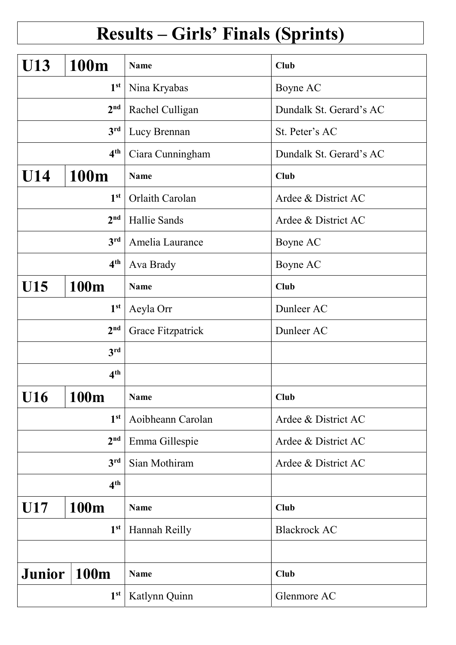## Results – Girls' Finals (Sprints)

| <b>U13</b>         | 100m            | <b>Name</b>       | <b>Club</b>             |
|--------------------|-----------------|-------------------|-------------------------|
|                    |                 |                   |                         |
| 1 <sup>st</sup>    |                 | Nina Kryabas      | Boyne AC                |
|                    | 2 <sup>nd</sup> | Rachel Culligan   | Dundalk St. Gerard's AC |
|                    | 3 <sup>rd</sup> | Lucy Brennan      | St. Peter's AC          |
| 4 <sup>th</sup>    |                 | Ciara Cunningham  | Dundalk St. Gerard's AC |
| U14                | 100m            | <b>Name</b>       | <b>Club</b>             |
|                    | 1 <sup>st</sup> | Orlaith Carolan   | Ardee & District AC     |
|                    | 2 <sup>nd</sup> | Hallie Sands      | Ardee & District AC     |
|                    | 3rd             | Amelia Laurance   | Boyne AC                |
|                    | 4 <sup>th</sup> | Ava Brady         | Boyne AC                |
| U15                | 100m            | <b>Name</b>       | <b>Club</b>             |
| 1 <sup>st</sup>    |                 | Aeyla Orr         | Dunleer AC              |
| 2 <sup>nd</sup>    |                 | Grace Fitzpatrick | Dunleer AC              |
|                    | 3 <sup>rd</sup> |                   |                         |
|                    | 4 <sup>th</sup> |                   |                         |
| <b>U16</b>         | 100m            | <b>Name</b>       | Club                    |
|                    | 1 <sup>st</sup> | Aoibheann Carolan | Ardee & District AC     |
|                    | 2 <sup>nd</sup> | Emma Gillespie    | Ardee & District AC     |
|                    | 3 <sup>rd</sup> | Sian Mothiram     | Ardee & District AC     |
| 4 <sup>th</sup>    |                 |                   |                         |
| U17<br><b>100m</b> |                 | <b>Name</b>       | <b>Club</b>             |
| 1 <sup>st</sup>    |                 | Hannah Reilly     | <b>Blackrock AC</b>     |
|                    |                 |                   |                         |
| <b>Junior</b>      | <b>100m</b>     | <b>Name</b>       | <b>Club</b>             |
|                    | 1 <sup>st</sup> | Katlynn Quinn     | Glenmore AC             |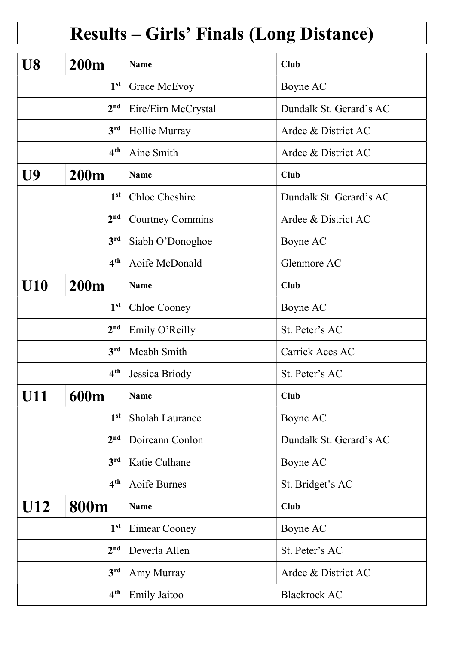## Results – Girls' Finals (Long Distance)

| U8              | <b>200m</b>     | Name                    | <b>Club</b>             |
|-----------------|-----------------|-------------------------|-------------------------|
| 1 <sup>st</sup> |                 | Grace McEvoy            | Boyne AC                |
|                 | 2 <sup>nd</sup> | Eire/Eirn McCrystal     | Dundalk St. Gerard's AC |
|                 | 3 <sup>rd</sup> | Hollie Murray           | Ardee & District AC     |
| 4 <sup>th</sup> |                 | Aine Smith              | Ardee & District AC     |
| U9              | <b>200m</b>     | <b>Name</b>             | <b>Club</b>             |
|                 | 1 <sup>st</sup> | <b>Chloe Cheshire</b>   | Dundalk St. Gerard's AC |
|                 | 2 <sup>nd</sup> | <b>Courtney Commins</b> | Ardee & District AC     |
|                 | 3 <sup>rd</sup> | Siabh O'Donoghoe        | Boyne AC                |
|                 | 4 <sup>th</sup> | Aoife McDonald          | Glenmore AC             |
| U10             | <b>200m</b>     | <b>Name</b>             | <b>Club</b>             |
|                 | 1 <sup>st</sup> | <b>Chloe Cooney</b>     | Boyne AC                |
|                 | 2 <sup>nd</sup> | Emily O'Reilly          | St. Peter's AC          |
| 3 <sup>rd</sup> |                 | Meabh Smith             | Carrick Aces AC         |
|                 | 4 <sup>th</sup> | Jessica Briody          | St. Peter's AC          |
| <b>U11</b>      | 600m            | <b>Name</b>             | <b>Club</b>             |
|                 | 1 <sup>st</sup> | Sholah Laurance         | Boyne AC                |
|                 | 2 <sup>nd</sup> | Doireann Conlon         | Dundalk St. Gerard's AC |
|                 | 3 <sup>rd</sup> | Katie Culhane           | Boyne AC                |
| 4 <sup>th</sup> |                 | Aoife Burnes            | St. Bridget's AC        |
| U12<br>800m     |                 | <b>Name</b>             | <b>Club</b>             |
| 1 <sup>st</sup> |                 | Eimear Cooney           | Boyne AC                |
|                 | 2 <sub>nd</sub> | Deverla Allen           | St. Peter's AC          |
|                 | 3 <sup>rd</sup> | Amy Murray              | Ardee & District AC     |
| 4 <sup>th</sup> |                 | <b>Emily Jaitoo</b>     | <b>Blackrock AC</b>     |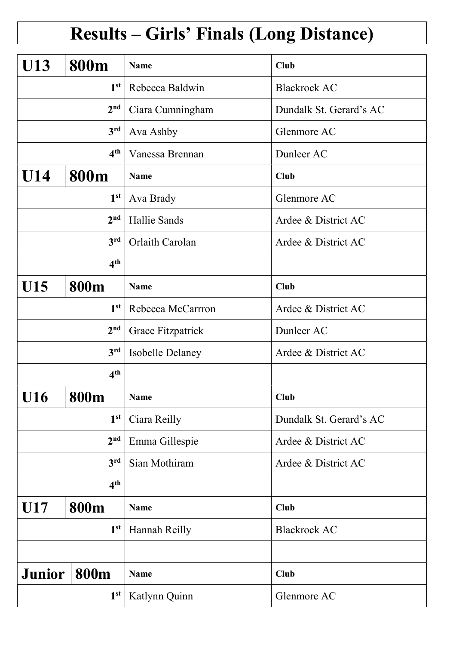## Results – Girls' Finals (Long Distance)

| <b>U13</b>      | 800m            | <b>Name</b>       | <b>Club</b>             |
|-----------------|-----------------|-------------------|-------------------------|
|                 | 1 <sup>st</sup> | Rebecca Baldwin   | <b>Blackrock AC</b>     |
|                 | 2 <sup>nd</sup> | Ciara Cumningham  | Dundalk St. Gerard's AC |
|                 | 3 <sup>rd</sup> | Ava Ashby         | Glenmore AC             |
|                 | 4 <sup>th</sup> | Vanessa Brennan   | Dunleer AC              |
| U14             | 800m            | <b>Name</b>       | Club                    |
|                 | 1 <sup>st</sup> | Ava Brady         | Glenmore AC             |
|                 | 2 <sup>nd</sup> | Hallie Sands      | Ardee & District AC     |
|                 | 3 <sup>rd</sup> | Orlaith Carolan   | Ardee & District AC     |
|                 | 4 <sup>th</sup> |                   |                         |
| U15             | 800m            | Name              | <b>Club</b>             |
| 1 <sup>st</sup> |                 | Rebecca McCarrron | Ardee & District AC     |
|                 | 2 <sup>nd</sup> | Grace Fitzpatrick | Dunleer AC              |
| 3 <sup>rd</sup> |                 | Isobelle Delaney  | Ardee & District AC     |
|                 | 4 <sup>th</sup> |                   |                         |
| U16             | <b>800m</b>     | <b>Name</b>       | <b>Club</b>             |
|                 | 1 <sup>st</sup> | Ciara Reilly      | Dundalk St. Gerard's AC |
|                 | 2 <sup>nd</sup> | Emma Gillespie    | Ardee & District AC     |
|                 | 3 <sup>rd</sup> | Sian Mothiram     | Ardee & District AC     |
| 4 <sup>th</sup> |                 |                   |                         |
| 800m<br>U17     |                 | <b>Name</b>       | <b>Club</b>             |
| 1 <sup>st</sup> |                 | Hannah Reilly     | <b>Blackrock AC</b>     |
|                 |                 |                   |                         |
| <b>Junior</b>   | 800m            | <b>Name</b>       | <b>Club</b>             |
| 1 <sup>st</sup> |                 | Katlynn Quinn     | Glenmore AC             |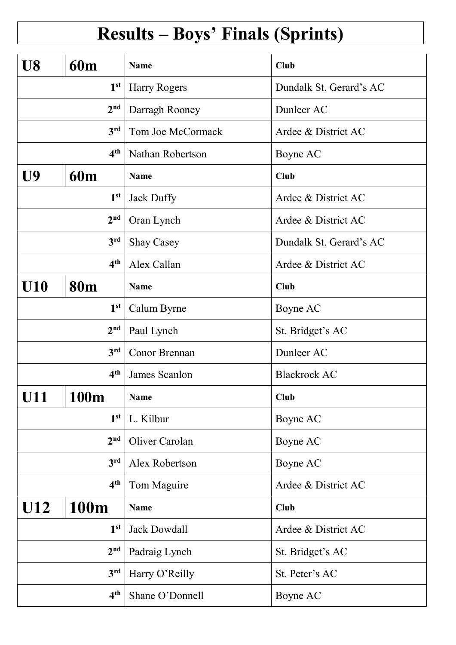# Results – Boys' Finals (Sprints)

| U8              | <b>60m</b>      | <b>Name</b>          | Club                    |
|-----------------|-----------------|----------------------|-------------------------|
| 1 <sup>st</sup> |                 | Harry Rogers         | Dundalk St. Gerard's AC |
|                 | 2 <sup>nd</sup> | Darragh Rooney       | Dunleer AC              |
|                 | 3 <sup>rd</sup> | Tom Joe McCormack    | Ardee & District AC     |
| 4 <sup>th</sup> |                 | Nathan Robertson     | Boyne AC                |
| U9              | <b>60m</b>      | <b>Name</b>          | <b>Club</b>             |
|                 | 1 <sup>st</sup> | Jack Duffy           | Ardee & District AC     |
|                 | 2 <sup>nd</sup> | Oran Lynch           | Ardee & District AC     |
|                 | 3 <sup>rd</sup> | <b>Shay Casey</b>    | Dundalk St. Gerard's AC |
|                 | 4 <sup>th</sup> | Alex Callan          | Ardee & District AC     |
| <b>U10</b>      | <b>80m</b>      | <b>Name</b>          | <b>Club</b>             |
| 1 <sup>st</sup> |                 | Calum Byrne          | Boyne AC                |
|                 | 2 <sup>nd</sup> | Paul Lynch           | St. Bridget's AC        |
| 3 <sup>rd</sup> |                 | <b>Conor Brennan</b> | Dunleer AC              |
|                 | 4 <sup>th</sup> | James Scanlon        | <b>Blackrock AC</b>     |
| <b>U11</b>      | 100m            | <b>Name</b>          | Club                    |
|                 | 1 <sup>st</sup> | L. Kilbur            | Boyne AC                |
|                 | 2 <sup>nd</sup> | Oliver Carolan       | Boyne AC                |
|                 | 3 <sup>rd</sup> | Alex Robertson       | Boyne AC                |
| 4 <sup>th</sup> |                 | Tom Maguire          | Ardee & District AC     |
| U12<br>100m     |                 | <b>Name</b>          | <b>Club</b>             |
| 1 <sup>st</sup> |                 | Jack Dowdall         | Ardee & District AC     |
|                 | 2 <sup>nd</sup> | Padraig Lynch        | St. Bridget's AC        |
|                 | 3rd             | Harry O'Reilly       | St. Peter's AC          |
| 4 <sup>th</sup> |                 | Shane O'Donnell      | Boyne AC                |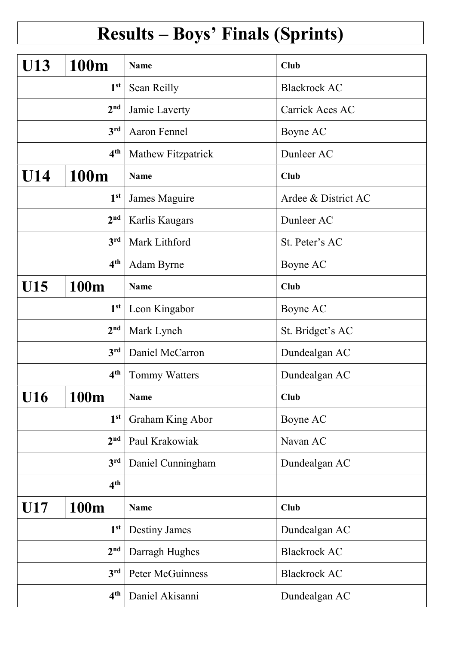# Results – Boys' Finals (Sprints)

| U13             | 100m            | <b>Name</b>             | <b>Club</b>         |
|-----------------|-----------------|-------------------------|---------------------|
| 1 <sup>st</sup> |                 | Sean Reilly             | <b>Blackrock AC</b> |
|                 | 2 <sup>nd</sup> | Jamie Laverty           | Carrick Aces AC     |
|                 | 3 <sup>rd</sup> | <b>Aaron Fennel</b>     | Boyne AC            |
|                 | 4 <sup>th</sup> | Mathew Fitzpatrick      | Dunleer AC          |
| U14             | 100m            | <b>Name</b>             | <b>Club</b>         |
|                 | 1 <sup>st</sup> | James Maguire           | Ardee & District AC |
|                 | 2 <sup>nd</sup> | Karlis Kaugars          | Dunleer AC          |
|                 | 3rd             | Mark Lithford           | St. Peter's AC      |
|                 | 4 <sup>th</sup> | Adam Byrne              | Boyne AC            |
| U15             | 100m            | <b>Name</b>             | <b>Club</b>         |
| 1 <sup>st</sup> |                 | Leon Kingabor           | Boyne AC            |
| 2 <sup>nd</sup> |                 | Mark Lynch              | St. Bridget's AC    |
| 3 <sup>rd</sup> |                 | Daniel McCarron         | Dundealgan AC       |
|                 | 4 <sup>th</sup> | Tommy Watters           | Dundealgan AC       |
| <b>U16</b>      | 100m            | <b>Name</b>             | <b>Club</b>         |
|                 | 1 <sup>st</sup> | <b>Graham King Abor</b> | Boyne AC            |
|                 | 2 <sup>nd</sup> | Paul Krakowiak          | Navan AC            |
|                 | 3 <sup>rd</sup> | Daniel Cunningham       | Dundealgan AC       |
| 4 <sup>th</sup> |                 |                         |                     |
| U17             | 100m            | <b>Name</b>             | <b>Club</b>         |
| 1 <sup>st</sup> |                 | Destiny James           | Dundealgan AC       |
|                 | 2 <sup>nd</sup> | Darragh Hughes          | <b>Blackrock AC</b> |
|                 | 3 <sup>rd</sup> | Peter McGuinness        | <b>Blackrock AC</b> |
| 4 <sup>th</sup> |                 | Daniel Akisanni         | Dundealgan AC       |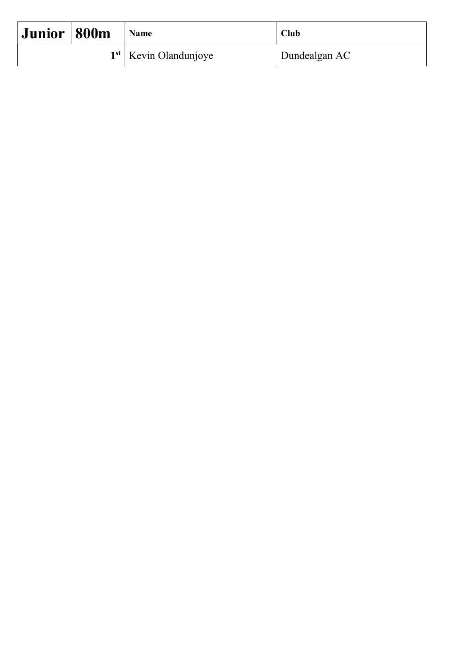| Junior   800m |  | <b>Name</b>             | <b>Club</b>   |
|---------------|--|-------------------------|---------------|
|               |  | $1st$ Kevin Olandunjoye | Dundealgan AC |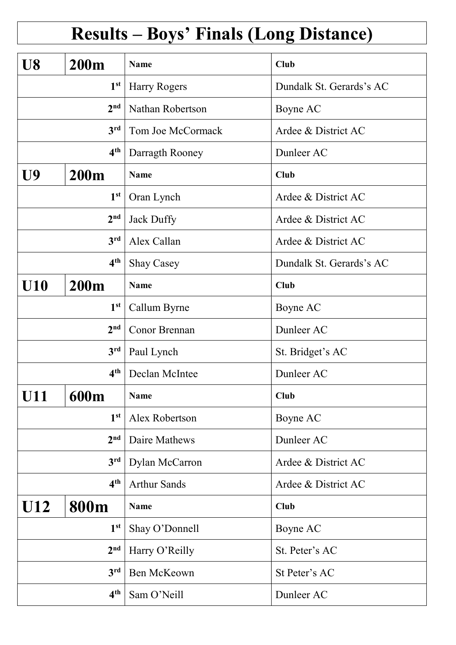# Results – Boys' Finals (Long Distance)

| U8                 | <b>200m</b>     | <b>Name</b>         | Club                     |
|--------------------|-----------------|---------------------|--------------------------|
| 1 <sup>st</sup>    |                 | Harry Rogers        | Dundalk St. Gerards's AC |
|                    | 2 <sup>nd</sup> | Nathan Robertson    | Boyne AC                 |
|                    | 3 <sup>rd</sup> | Tom Joe McCormack   | Ardee & District AC      |
| 4 <sup>th</sup>    |                 | Darragth Rooney     | Dunleer AC               |
| U9<br><b>200m</b>  |                 | <b>Name</b>         | <b>Club</b>              |
|                    | 1 <sup>st</sup> | Oran Lynch          | Ardee & District AC      |
|                    | 2 <sup>nd</sup> | Jack Duffy          | Ardee & District AC      |
|                    | 3 <sup>rd</sup> | Alex Callan         | Ardee & District AC      |
|                    | 4 <sup>th</sup> | <b>Shay Casey</b>   | Dundalk St. Gerards's AC |
| <b>U10</b>         | <b>200m</b>     | <b>Name</b>         | <b>Club</b>              |
| 1 <sup>st</sup>    |                 | Callum Byrne        | Boyne AC                 |
|                    | 2 <sup>nd</sup> | Conor Brennan       | Dunleer AC               |
|                    | 3 <sup>rd</sup> | Paul Lynch          | St. Bridget's AC         |
|                    | 4 <sup>th</sup> | Declan McIntee      | Dunleer AC               |
| <b>U11</b>         | 600m            | <b>Name</b>         | <b>Club</b>              |
|                    | 1 <sup>st</sup> | Alex Robertson      | Boyne AC                 |
|                    | 2 <sup>nd</sup> | Daire Mathews       | Dunleer AC               |
|                    | 3 <sup>rd</sup> | Dylan McCarron      | Ardee & District AC      |
| 4 <sup>th</sup>    |                 | <b>Arthur Sands</b> | Ardee & District AC      |
| U12<br><b>800m</b> |                 | <b>Name</b>         | <b>Club</b>              |
| 1 <sup>st</sup>    |                 | Shay O'Donnell      | Boyne AC                 |
|                    | 2 <sup>nd</sup> | Harry O'Reilly      | St. Peter's AC           |
|                    | 3 <sup>rd</sup> | Ben McKeown         | St Peter's AC            |
| 4 <sup>th</sup>    |                 | Sam O'Neill         | Dunleer AC               |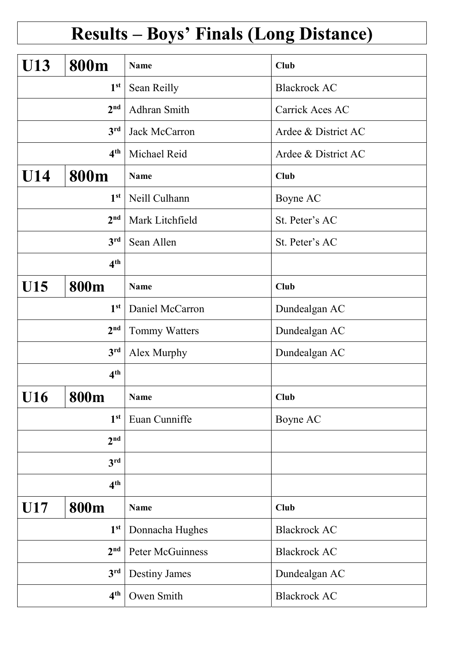#### Results – Boys' Finals (Long Distance)

| <b>U13</b>         | 800m            | <b>Name</b>          | <b>Club</b>         |
|--------------------|-----------------|----------------------|---------------------|
| 1 <sup>st</sup>    |                 | Sean Reilly          | <b>Blackrock AC</b> |
|                    | 2 <sup>nd</sup> | Adhran Smith         | Carrick Aces AC     |
|                    | 3 <sup>rd</sup> | <b>Jack McCarron</b> | Ardee & District AC |
|                    | 4 <sup>th</sup> | Michael Reid         | Ardee & District AC |
| U14                | 800m            | <b>Name</b>          | Club                |
|                    | 1 <sup>st</sup> | Neill Culhann        | Boyne AC            |
|                    | 2 <sup>nd</sup> | Mark Litchfield      | St. Peter's AC      |
|                    | 3 <sup>rd</sup> | Sean Allen           | St. Peter's AC      |
|                    | 4 <sup>th</sup> |                      |                     |
| U15                | 800m            | <b>Name</b>          | Club                |
| 1 <sup>st</sup>    |                 | Daniel McCarron      | Dundealgan AC       |
| 2 <sup>nd</sup>    |                 | Tommy Watters        | Dundealgan AC       |
| 3 <sup>rd</sup>    |                 | Alex Murphy          | Dundealgan AC       |
|                    | 4 <sup>th</sup> |                      |                     |
| <b>U16</b>         | <b>800m</b>     | <b>Name</b>          | <b>Club</b>         |
|                    | 1 <sup>st</sup> | Euan Cunniffe        | Boyne AC            |
|                    | 2 <sup>nd</sup> |                      |                     |
|                    | 3 <sup>rd</sup> |                      |                     |
| 4 <sup>th</sup>    |                 |                      |                     |
| U17<br><b>800m</b> |                 | <b>Name</b>          | Club                |
| 1 <sup>st</sup>    |                 | Donnacha Hughes      | <b>Blackrock AC</b> |
|                    | 2 <sup>nd</sup> | Peter McGuinness     | <b>Blackrock AC</b> |
|                    | 3 <sup>rd</sup> | <b>Destiny James</b> | Dundealgan AC       |
| 4 <sup>th</sup>    |                 | Owen Smith           | <b>Blackrock AC</b> |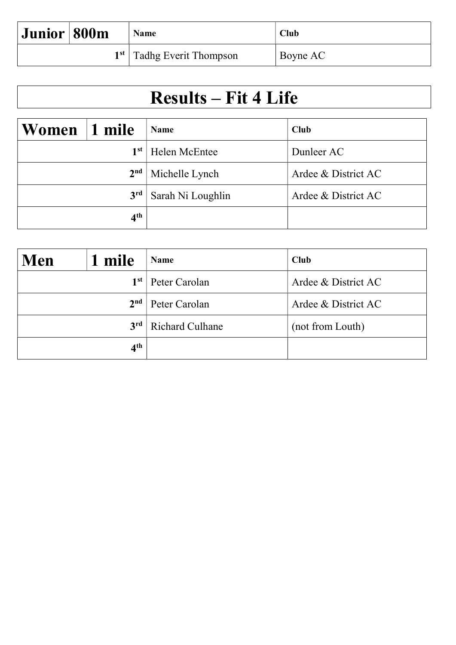| Junior   800m | Name                        | Club     |
|---------------|-----------------------------|----------|
|               | $1st$ Tadhg Everit Thompson | Boyne AC |

#### Results – Fit 4 Life

| Women           | 1 mile          | <b>Name</b>       | Club                |
|-----------------|-----------------|-------------------|---------------------|
| 1 <sup>st</sup> |                 | Helen McEntee     | Dunleer AC          |
|                 | 2 <sup>nd</sup> | Michelle Lynch    | Ardee & District AC |
|                 | 3 <sup>rd</sup> | Sarah Ni Loughlin | Ardee & District AC |
|                 | 4 <sup>th</sup> |                   |                     |

| Men | 1 mile          | <b>Name</b>            | <b>Club</b>         |
|-----|-----------------|------------------------|---------------------|
|     | 1st             | Peter Carolan          | Ardee & District AC |
|     | 2 <sup>nd</sup> | Peter Carolan          | Ardee & District AC |
|     | 3 <sup>rd</sup> | <b>Richard Culhane</b> | (not from Louth)    |
|     | 4 <sup>th</sup> |                        |                     |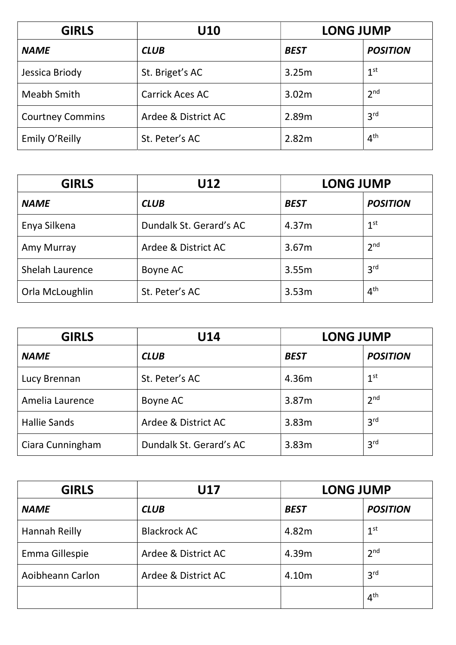| <b>GIRLS</b>            | U10                    | <b>LONG JUMP</b> |                 |
|-------------------------|------------------------|------------------|-----------------|
| <b>NAME</b>             | <b>CLUB</b>            | <b>BEST</b>      | <b>POSITION</b> |
| Jessica Briody          | St. Briget's AC        | 3.25m            | 1 <sup>st</sup> |
| Meabh Smith             | <b>Carrick Aces AC</b> | 3.02m            | 2 <sup>nd</sup> |
| <b>Courtney Commins</b> | Ardee & District AC    | 2.89m            | 3 <sup>rd</sup> |
| Emily O'Reilly          | St. Peter's AC         | 2.82m            | 4 <sup>th</sup> |

| <b>GIRLS</b>    | U12                     | <b>LONG JUMP</b> |                 |
|-----------------|-------------------------|------------------|-----------------|
| <b>NAME</b>     | <b>CLUB</b>             | <b>BEST</b>      | <b>POSITION</b> |
| Enya Silkena    | Dundalk St. Gerard's AC | 4.37m            | 1 <sup>st</sup> |
| Amy Murray      | Ardee & District AC     | 3.67m            | 2 <sup>nd</sup> |
| Shelah Laurence | Boyne AC                | 3.55m            | 3 <sup>rd</sup> |
| Orla McLoughlin | St. Peter's AC          | 3.53m            | 4 <sup>th</sup> |

| <b>GIRLS</b>        | U14                     | <b>LONG JUMP</b> |                 |
|---------------------|-------------------------|------------------|-----------------|
| <b>NAME</b>         | <b>CLUB</b>             | <b>BEST</b>      | <b>POSITION</b> |
| Lucy Brennan        | St. Peter's AC          | 4.36m            | 1 <sup>st</sup> |
| Amelia Laurence     | Boyne AC                | 3.87m            | 2 <sup>nd</sup> |
| <b>Hallie Sands</b> | Ardee & District AC     | 3.83m            | 3 <sup>rd</sup> |
| Ciara Cunningham    | Dundalk St. Gerard's AC | 3.83m            | 3 <sup>rd</sup> |

| <b>GIRLS</b>         | U17                 | <b>LONG JUMP</b> |                 |
|----------------------|---------------------|------------------|-----------------|
| <b>NAME</b>          | <b>CLUB</b>         | <b>BEST</b>      | <b>POSITION</b> |
| <b>Hannah Reilly</b> | <b>Blackrock AC</b> | 4.82m            | 1 <sup>st</sup> |
| Emma Gillespie       | Ardee & District AC | 4.39m            | 2 <sup>nd</sup> |
| Aoibheann Carlon     | Ardee & District AC | 4.10m            | 3 <sup>rd</sup> |
|                      |                     |                  | 4 <sup>th</sup> |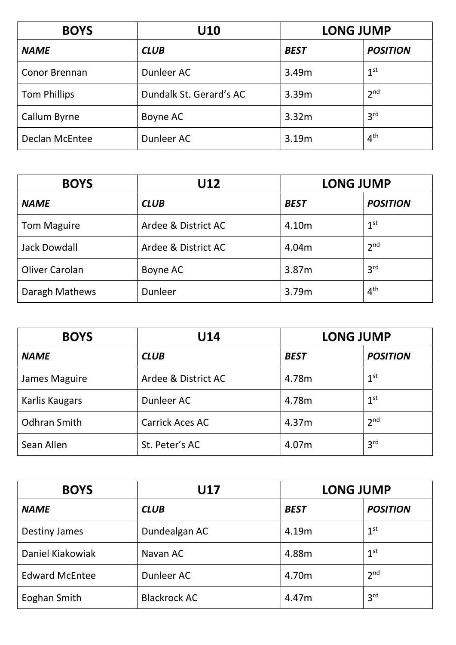| <b>BOYS</b>           | U10                     | <b>LONG JUMP</b> |                 |
|-----------------------|-------------------------|------------------|-----------------|
| <b>NAME</b>           | <b>CLUB</b>             | <b>BEST</b>      | <b>POSITION</b> |
| Conor Brennan         | Dunleer AC              | 3.49m            | 1 <sup>st</sup> |
| <b>Tom Phillips</b>   | Dundalk St. Gerard's AC | 3.39m            | 2 <sup>nd</sup> |
| Callum Byrne          | Boyne AC                | 3.32m            | 3 <sup>rd</sup> |
| <b>Declan McEntee</b> | Dunleer AC              | 3.19m            | 4 <sup>th</sup> |

| <b>BOYS</b>         | U12                 | <b>LONG JUMP</b> |                 |
|---------------------|---------------------|------------------|-----------------|
| <b>NAME</b>         | <b>CLUB</b>         | <b>BEST</b>      | <b>POSITION</b> |
| <b>Tom Maguire</b>  | Ardee & District AC | 4.10m            | 1 <sup>st</sup> |
| <b>Jack Dowdall</b> | Ardee & District AC | 4.04m            | 2 <sup>nd</sup> |
| Oliver Carolan      | Boyne AC            | 3.87m            | 3 <sup>rd</sup> |
| Daragh Mathews      | Dunleer             | 3.79m            | 4 <sup>th</sup> |

| <b>BOYS</b>         | U14                    | <b>LONG JUMP</b> |                 |
|---------------------|------------------------|------------------|-----------------|
| <b>NAME</b>         | <b>CLUB</b>            | <b>BEST</b>      | <b>POSITION</b> |
| James Maguire       | Ardee & District AC    | 4.78m            | 1 <sup>st</sup> |
| Karlis Kaugars      | Dunleer AC             | 4.78m            | 1 <sup>st</sup> |
| <b>Odhran Smith</b> | <b>Carrick Aces AC</b> | 4.37m            | 2 <sup>nd</sup> |
| Sean Allen          | St. Peter's AC         | 4.07m            | 3 <sup>rd</sup> |

| <b>BOYS</b>           | <b>U17</b>          | <b>LONG JUMP</b> |                 |
|-----------------------|---------------------|------------------|-----------------|
| <b>NAME</b>           | <b>CLUB</b>         | <b>BEST</b>      | <b>POSITION</b> |
| <b>Destiny James</b>  | Dundealgan AC       | 4.19m            | 1 <sup>st</sup> |
| Daniel Kiakowiak      | Navan AC            | 4.88m            | 1 <sup>st</sup> |
| <b>Edward McEntee</b> | Dunleer AC          | 4.70m            | 2 <sup>nd</sup> |
| Eoghan Smith          | <b>Blackrock AC</b> | 4.47m            | 3 <sup>rd</sup> |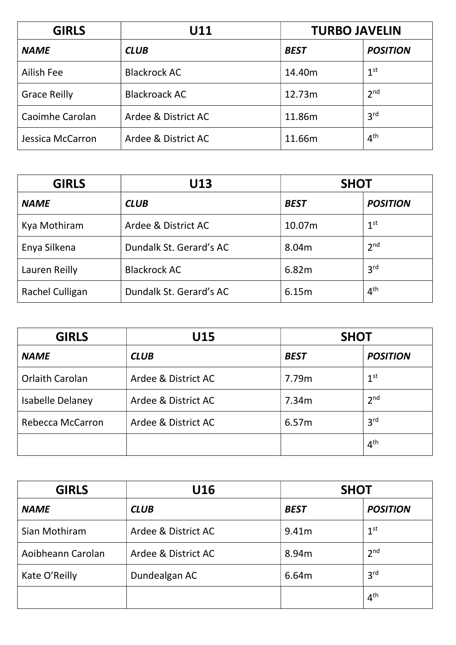| <b>GIRLS</b>        | U11                  | <b>TURBO JAVELIN</b> |                 |
|---------------------|----------------------|----------------------|-----------------|
| <b>NAME</b>         | <b>CLUB</b>          | <b>BEST</b>          | <b>POSITION</b> |
| Ailish Fee          | <b>Blackrock AC</b>  | 14.40m               | 1 <sup>st</sup> |
| <b>Grace Reilly</b> | <b>Blackroack AC</b> | 12.73m               | 2 <sup>nd</sup> |
| Caoimhe Carolan     | Ardee & District AC  | 11.86m               | 3 <sup>rd</sup> |
| Jessica McCarron    | Ardee & District AC  | 11.66m               | 4 <sup>th</sup> |

| <b>GIRLS</b>    | U13                     | <b>SHOT</b> |                 |
|-----------------|-------------------------|-------------|-----------------|
| <b>NAME</b>     | <b>CLUB</b>             | <b>BEST</b> | <b>POSITION</b> |
| Kya Mothiram    | Ardee & District AC     | 10.07m      | 1 <sup>st</sup> |
| Enya Silkena    | Dundalk St. Gerard's AC | 8.04m       | 2 <sup>nd</sup> |
| Lauren Reilly   | <b>Blackrock AC</b>     | 6.82m       | 3 <sup>rd</sup> |
| Rachel Culligan | Dundalk St. Gerard's AC | 6.15m       | 4 <sup>th</sup> |

| <b>GIRLS</b>           | U15                 | <b>SHOT</b> |                 |
|------------------------|---------------------|-------------|-----------------|
| <b>NAME</b>            | <b>CLUB</b>         | <b>BEST</b> | <b>POSITION</b> |
| <b>Orlaith Carolan</b> | Ardee & District AC | 7.79m       | 1 <sup>st</sup> |
| Isabelle Delaney       | Ardee & District AC | 7.34m       | 2 <sup>nd</sup> |
| Rebecca McCarron       | Ardee & District AC | 6.57m       | 3 <sup>rd</sup> |
|                        |                     |             | 4 <sup>th</sup> |

| <b>GIRLS</b>      | U16                 | <b>SHOT</b>       |                 |
|-------------------|---------------------|-------------------|-----------------|
| <b>NAME</b>       | <b>CLUB</b>         | <b>BEST</b>       | <b>POSITION</b> |
| Sian Mothiram     | Ardee & District AC | 9.41 <sub>m</sub> | 1 <sup>st</sup> |
| Aoibheann Carolan | Ardee & District AC | 8.94m             | 2 <sup>nd</sup> |
| Kate O'Reilly     | Dundealgan AC       | 6.64m             | 3 <sup>rd</sup> |
|                   |                     |                   | 4 <sup>th</sup> |